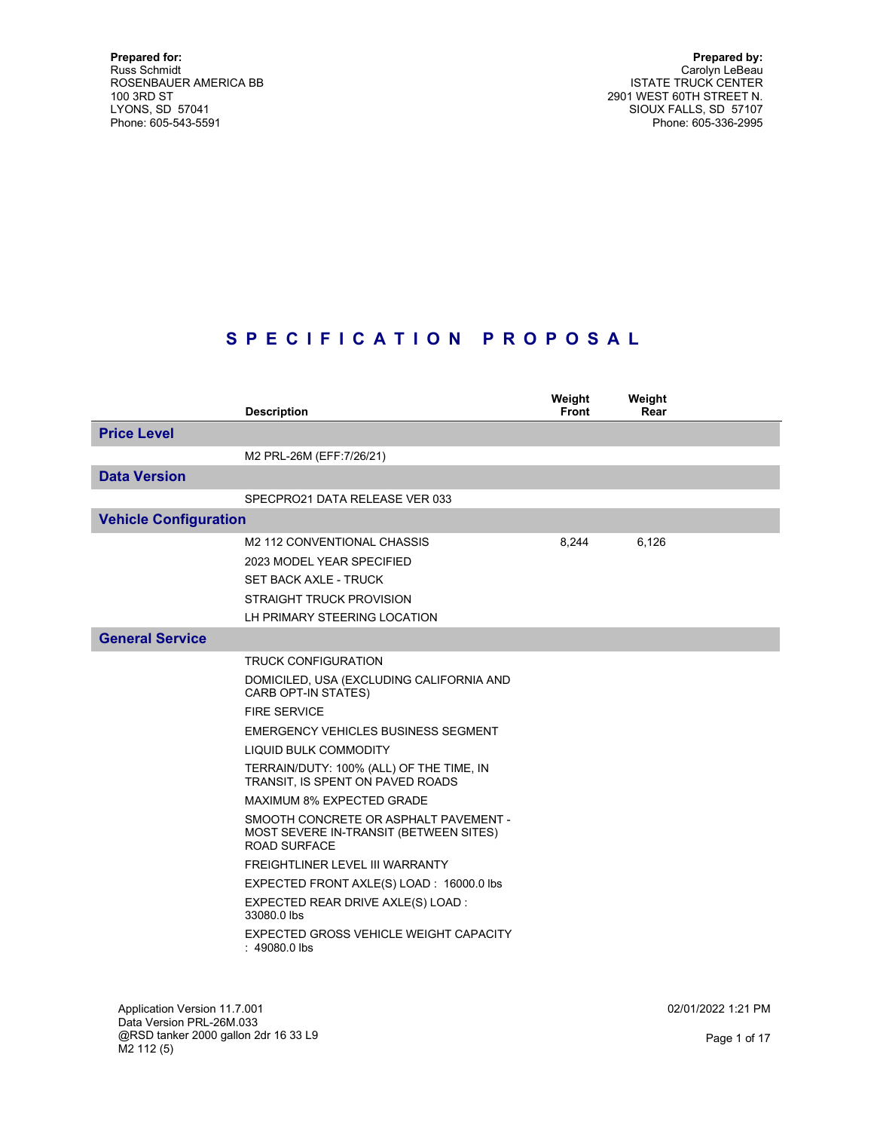Prepared by: Carolyn LeBeau ISTATE TRUCK CENTER 2901 WEST 60TH STREET N. SIOUX FALLS, SD 57107 Phone: 605-336-2995

# S P E C I F I C A T I O N P R O P O S A L

|                              | <b>Description</b>                                                                                                                                                                                                                                                                                                                                                                                                                                                                                                                                                                                                                | Weight<br><b>Front</b> | Weight<br>Rear |  |
|------------------------------|-----------------------------------------------------------------------------------------------------------------------------------------------------------------------------------------------------------------------------------------------------------------------------------------------------------------------------------------------------------------------------------------------------------------------------------------------------------------------------------------------------------------------------------------------------------------------------------------------------------------------------------|------------------------|----------------|--|
| <b>Price Level</b>           |                                                                                                                                                                                                                                                                                                                                                                                                                                                                                                                                                                                                                                   |                        |                |  |
|                              | M2 PRL-26M (EFF:7/26/21)                                                                                                                                                                                                                                                                                                                                                                                                                                                                                                                                                                                                          |                        |                |  |
| <b>Data Version</b>          |                                                                                                                                                                                                                                                                                                                                                                                                                                                                                                                                                                                                                                   |                        |                |  |
|                              | SPECPRO21 DATA RELEASE VER 033                                                                                                                                                                                                                                                                                                                                                                                                                                                                                                                                                                                                    |                        |                |  |
| <b>Vehicle Configuration</b> |                                                                                                                                                                                                                                                                                                                                                                                                                                                                                                                                                                                                                                   |                        |                |  |
|                              | M2 112 CONVENTIONAL CHASSIS<br>2023 MODEL YEAR SPECIFIED<br><b>SET BACK AXLE - TRUCK</b><br><b>STRAIGHT TRUCK PROVISION</b><br>LH PRIMARY STEERING LOCATION                                                                                                                                                                                                                                                                                                                                                                                                                                                                       | 8,244                  | 6,126          |  |
| <b>General Service</b>       |                                                                                                                                                                                                                                                                                                                                                                                                                                                                                                                                                                                                                                   |                        |                |  |
|                              | <b>TRUCK CONFIGURATION</b><br>DOMICILED, USA (EXCLUDING CALIFORNIA AND<br>CARB OPT-IN STATES)<br><b>FIRE SERVICE</b><br>EMERGENCY VEHICLES BUSINESS SEGMENT<br><b>LIQUID BULK COMMODITY</b><br>TERRAIN/DUTY: 100% (ALL) OF THE TIME, IN<br>TRANSIT, IS SPENT ON PAVED ROADS<br><b>MAXIMUM 8% EXPECTED GRADE</b><br>SMOOTH CONCRETE OR ASPHALT PAVEMENT -<br>MOST SEVERE IN-TRANSIT (BETWEEN SITES)<br><b>ROAD SURFACE</b><br><b>FREIGHTLINER LEVEL III WARRANTY</b><br>EXPECTED FRONT AXLE(S) LOAD: 16000.0 lbs<br>EXPECTED REAR DRIVE AXLE(S) LOAD :<br>33080.0 lbs<br>EXPECTED GROSS VEHICLE WEIGHT CAPACITY<br>$: 49080.0$ lbs |                        |                |  |

Application Version 11.7.001 Data Version PRL-26M.033 @RSD tanker 2000 gallon 2dr 16 33 L9 M2 112 (5)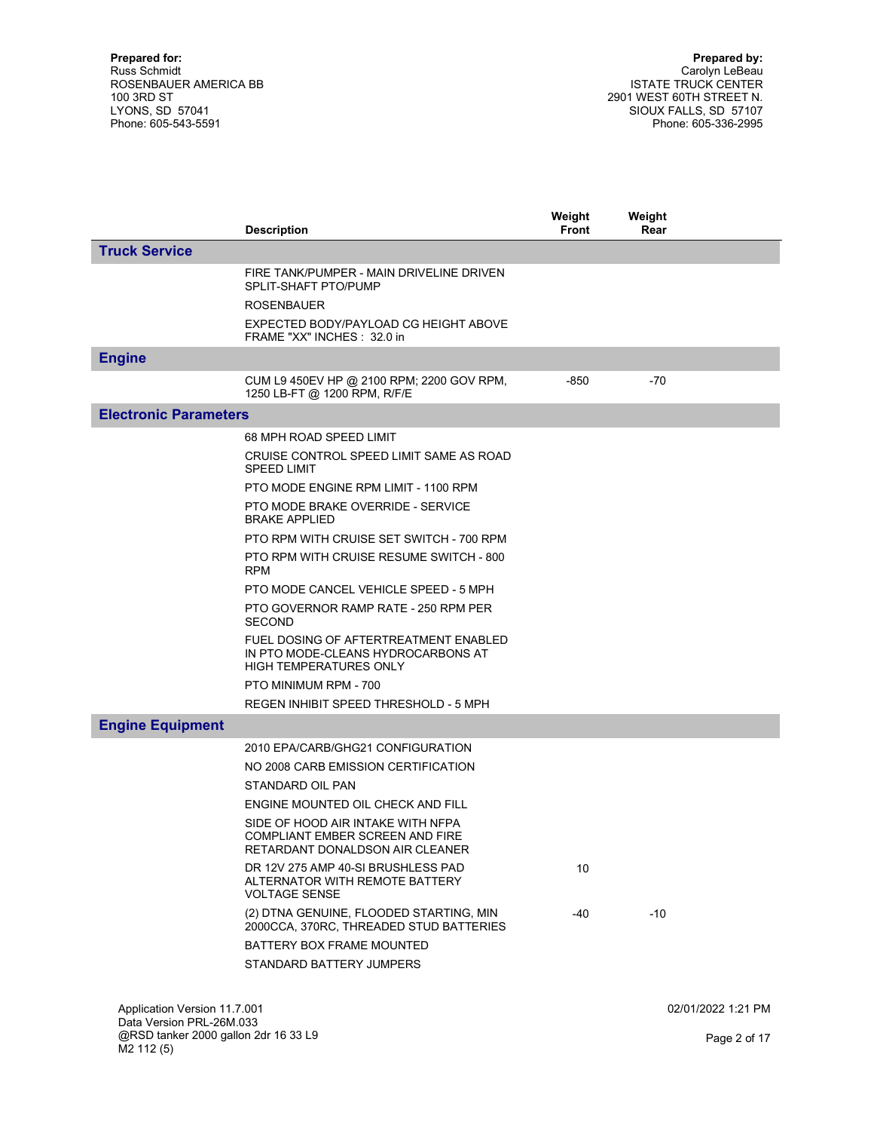|                              | <b>Description</b>                                                                                                                                                                                                                                                                                                                                                                                                                                                                                                                                                                     | Weight<br><b>Front</b> | Weight<br>Rear |                    |
|------------------------------|----------------------------------------------------------------------------------------------------------------------------------------------------------------------------------------------------------------------------------------------------------------------------------------------------------------------------------------------------------------------------------------------------------------------------------------------------------------------------------------------------------------------------------------------------------------------------------------|------------------------|----------------|--------------------|
| <b>Truck Service</b>         |                                                                                                                                                                                                                                                                                                                                                                                                                                                                                                                                                                                        |                        |                |                    |
|                              | FIRE TANK/PUMPER - MAIN DRIVELINE DRIVEN<br>SPLIT-SHAFT PTO/PUMP<br><b>ROSENBAUER</b><br>EXPECTED BODY/PAYLOAD CG HEIGHT ABOVE<br>FRAME "XX" INCHES: 32.0 in                                                                                                                                                                                                                                                                                                                                                                                                                           |                        |                |                    |
| <b>Engine</b>                |                                                                                                                                                                                                                                                                                                                                                                                                                                                                                                                                                                                        |                        |                |                    |
|                              | CUM L9 450EV HP @ 2100 RPM; 2200 GOV RPM,<br>1250 LB-FT @ 1200 RPM, R/F/E                                                                                                                                                                                                                                                                                                                                                                                                                                                                                                              | -850                   | $-70$          |                    |
| <b>Electronic Parameters</b> |                                                                                                                                                                                                                                                                                                                                                                                                                                                                                                                                                                                        |                        |                |                    |
|                              | 68 MPH ROAD SPEED LIMIT<br>CRUISE CONTROL SPEED LIMIT SAME AS ROAD<br><b>SPEED LIMIT</b><br>PTO MODE ENGINE RPM LIMIT - 1100 RPM<br>PTO MODE BRAKE OVERRIDE - SERVICE<br><b>BRAKE APPLIED</b><br>PTO RPM WITH CRUISE SET SWITCH - 700 RPM<br>PTO RPM WITH CRUISE RESUME SWITCH - 800<br><b>RPM</b><br>PTO MODE CANCEL VEHICLE SPEED - 5 MPH<br>PTO GOVERNOR RAMP RATE - 250 RPM PER<br><b>SECOND</b><br>FUEL DOSING OF AFTERTREATMENT ENABLED<br>IN PTO MODE-CLEANS HYDROCARBONS AT<br><b>HIGH TEMPERATURES ONLY</b><br>PTO MINIMUM RPM - 700<br>REGEN INHIBIT SPEED THRESHOLD - 5 MPH |                        |                |                    |
| <b>Engine Equipment</b>      |                                                                                                                                                                                                                                                                                                                                                                                                                                                                                                                                                                                        |                        |                |                    |
|                              | 2010 EPA/CARB/GHG21 CONFIGURATION<br>NO 2008 CARB EMISSION CERTIFICATION<br>STANDARD OIL PAN<br>ENGINE MOUNTED OIL CHECK AND FILL<br>SIDE OF HOOD AIR INTAKE WITH NFPA<br><b>COMPLIANT EMBER SCREEN AND FIRE</b><br>RETARDANT DONALDSON AIR CLEANER<br>DR 12V 275 AMP 40-SI BRUSHLESS PAD<br>ALTERNATOR WITH REMOTE BATTERY<br><b>VOLTAGE SENSE</b><br>(2) DTNA GENUINE, FLOODED STARTING, MIN<br>2000CCA, 370RC, THREADED STUD BATTERIES<br>BATTERY BOX FRAME MOUNTED<br>STANDARD BATTERY JUMPERS                                                                                     | 10<br>-40              | $-10$          |                    |
| Application Version 11.7.001 |                                                                                                                                                                                                                                                                                                                                                                                                                                                                                                                                                                                        |                        |                | 02/01/2022 1:21 PM |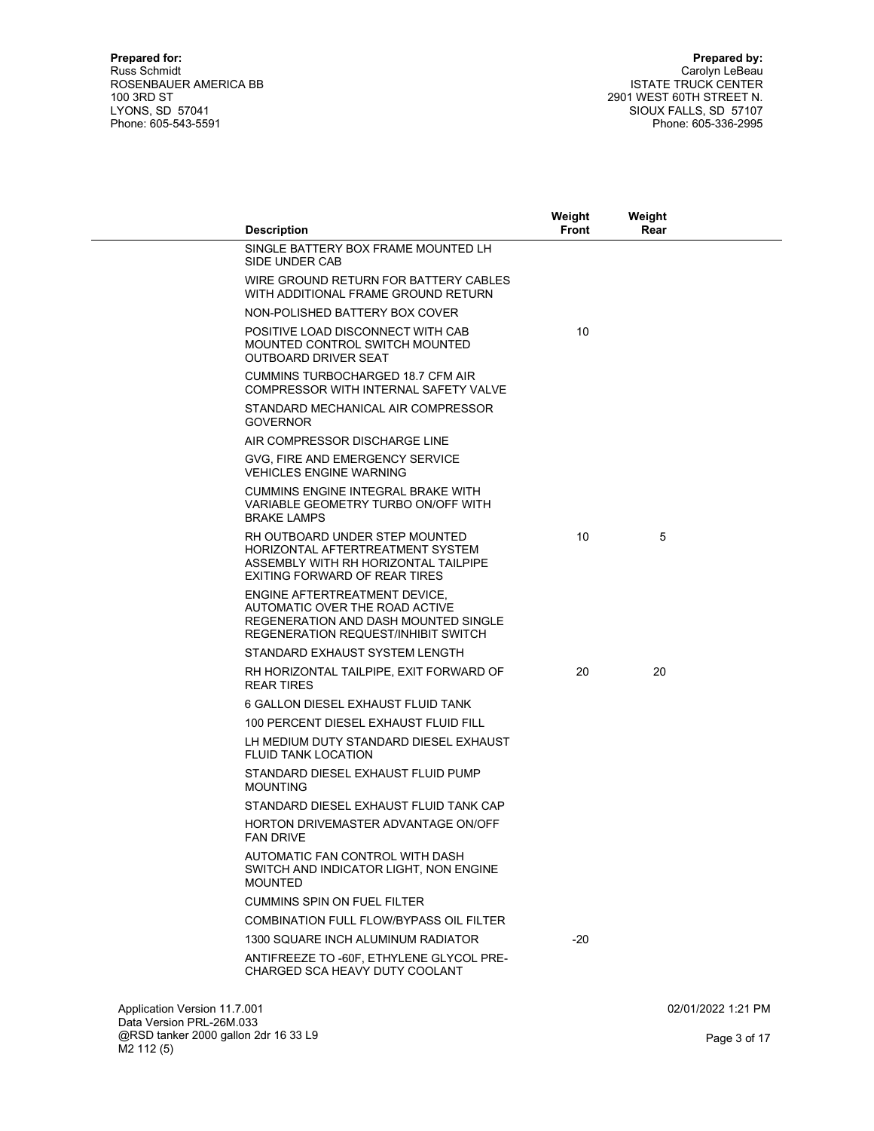|                              | <b>Description</b>                                                                                                                                    | Weight<br><b>Front</b> | Weight<br>Rear |                    |
|------------------------------|-------------------------------------------------------------------------------------------------------------------------------------------------------|------------------------|----------------|--------------------|
|                              | SINGLE BATTERY BOX FRAME MOUNTED LH<br>SIDE UNDER CAB                                                                                                 |                        |                |                    |
|                              | WIRE GROUND RETURN FOR BATTERY CABLES<br>WITH ADDITIONAL FRAME GROUND RETURN                                                                          |                        |                |                    |
|                              | NON-POLISHED BATTERY BOX COVER                                                                                                                        |                        |                |                    |
|                              | POSITIVE LOAD DISCONNECT WITH CAB<br>MOUNTED CONTROL SWITCH MOUNTED<br><b>OUTBOARD DRIVER SEAT</b>                                                    | 10                     |                |                    |
|                              | CUMMINS TURBOCHARGED 18.7 CFM AIR<br>COMPRESSOR WITH INTERNAL SAFETY VALVE                                                                            |                        |                |                    |
|                              | STANDARD MECHANICAL AIR COMPRESSOR<br><b>GOVERNOR</b>                                                                                                 |                        |                |                    |
|                              | AIR COMPRESSOR DISCHARGE LINE                                                                                                                         |                        |                |                    |
|                              | GVG, FIRE AND EMERGENCY SERVICE<br><b>VEHICLES ENGINE WARNING</b>                                                                                     |                        |                |                    |
|                              | <b>CUMMINS ENGINE INTEGRAL BRAKE WITH</b><br>VARIABLE GEOMETRY TURBO ON/OFF WITH<br><b>BRAKE LAMPS</b>                                                |                        |                |                    |
|                              | RH OUTBOARD UNDER STEP MOUNTED<br>HORIZONTAL AFTERTREATMENT SYSTEM<br>ASSEMBLY WITH RH HORIZONTAL TAILPIPE<br>EXITING FORWARD OF REAR TIRES           | 10                     | 5              |                    |
|                              | ENGINE AFTERTREATMENT DEVICE,<br>AUTOMATIC OVER THE ROAD ACTIVE<br>REGENERATION AND DASH MOUNTED SINGLE<br><b>REGENERATION REQUEST/INHIBIT SWITCH</b> |                        |                |                    |
|                              | STANDARD EXHAUST SYSTEM LENGTH                                                                                                                        |                        |                |                    |
|                              | RH HORIZONTAL TAILPIPE, EXIT FORWARD OF<br><b>REAR TIRES</b>                                                                                          | 20                     | 20             |                    |
|                              | 6 GALLON DIESEL EXHAUST FLUID TANK                                                                                                                    |                        |                |                    |
|                              | 100 PERCENT DIESEL EXHAUST FLUID FILL                                                                                                                 |                        |                |                    |
|                              | LH MEDIUM DUTY STANDARD DIESEL EXHAUST<br><b>FLUID TANK LOCATION</b>                                                                                  |                        |                |                    |
|                              | STANDARD DIESEL EXHAUST FLUID PUMP<br><b>MOUNTING</b>                                                                                                 |                        |                |                    |
|                              | STANDARD DIESEL EXHAUST FLUID TANK CAP                                                                                                                |                        |                |                    |
|                              | <b>HORTON DRIVEMASTER ADVANTAGE ON/OFF</b><br><b>FAN DRIVE</b>                                                                                        |                        |                |                    |
|                              | AUTOMATIC FAN CONTROL WITH DASH<br>SWITCH AND INDICATOR LIGHT, NON ENGINE<br><b>MOUNTED</b>                                                           |                        |                |                    |
|                              | <b>CUMMINS SPIN ON FUEL FILTER</b>                                                                                                                    |                        |                |                    |
|                              | <b>COMBINATION FULL FLOW/BYPASS OIL FILTER</b>                                                                                                        |                        |                |                    |
|                              | 1300 SQUARE INCH ALUMINUM RADIATOR                                                                                                                    | $-20$                  |                |                    |
|                              | ANTIFREEZE TO -60F, ETHYLENE GLYCOL PRE-<br>CHARGED SCA HEAVY DUTY COOLANT                                                                            |                        |                |                    |
| Application Version 11.7.001 |                                                                                                                                                       |                        |                | 02/01/2022 1:21 PM |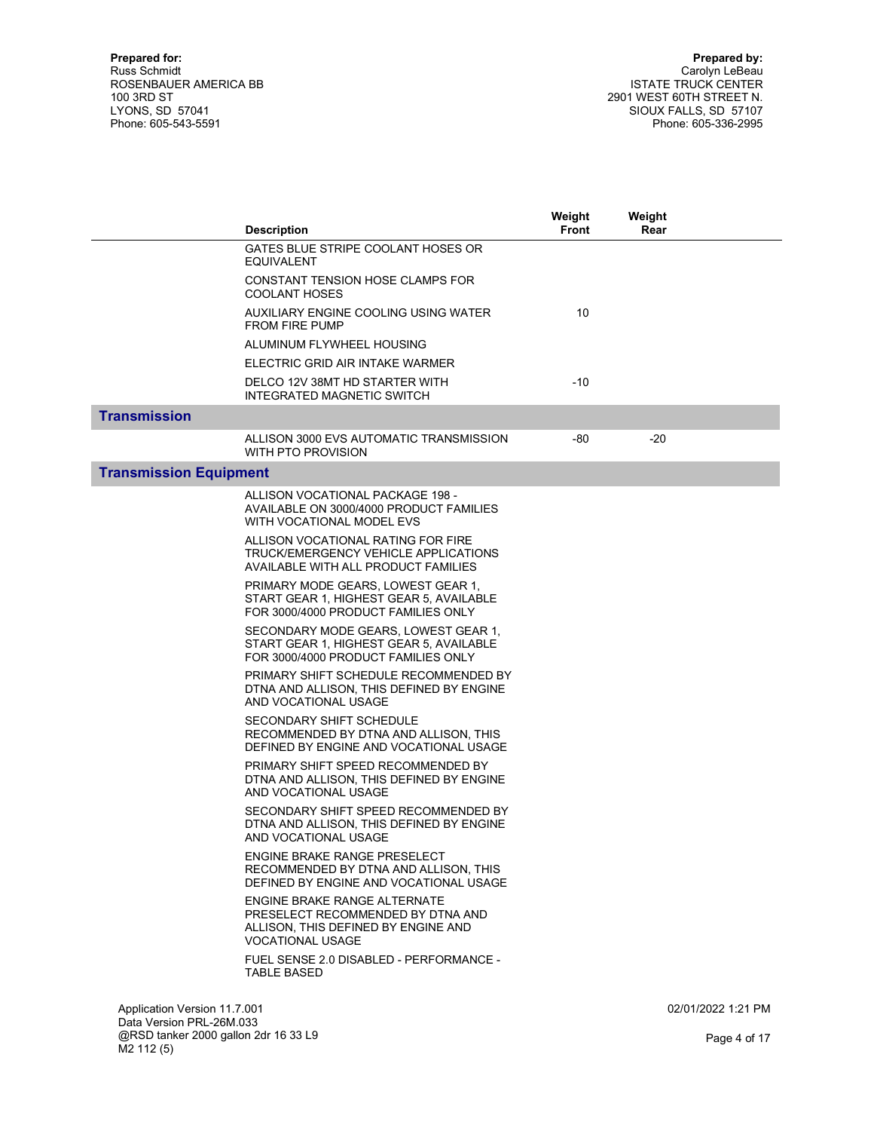|                               | <b>Description</b>                                                                                                                  | Weight<br>Front | Weight<br>Rear |                    |
|-------------------------------|-------------------------------------------------------------------------------------------------------------------------------------|-----------------|----------------|--------------------|
|                               | GATES BLUE STRIPE COOLANT HOSES OR<br>EQUIVALENT                                                                                    |                 |                |                    |
|                               | CONSTANT TENSION HOSE CLAMPS FOR<br><b>COOLANT HOSES</b>                                                                            |                 |                |                    |
|                               | AUXILIARY ENGINE COOLING USING WATER<br><b>FROM FIRE PUMP</b>                                                                       | 10              |                |                    |
|                               | ALUMINUM FLYWHEEL HOUSING                                                                                                           |                 |                |                    |
|                               | ELECTRIC GRID AIR INTAKE WARMER                                                                                                     |                 |                |                    |
|                               | DELCO 12V 38MT HD STARTER WITH<br><b>INTEGRATED MAGNETIC SWITCH</b>                                                                 | $-10$           |                |                    |
| <b>Transmission</b>           |                                                                                                                                     |                 |                |                    |
|                               | ALLISON 3000 EVS AUTOMATIC TRANSMISSION<br>WITH PTO PROVISION                                                                       | -80             | $-20$          |                    |
| <b>Transmission Equipment</b> |                                                                                                                                     |                 |                |                    |
|                               | ALLISON VOCATIONAL PACKAGE 198 -<br>AVAILABLE ON 3000/4000 PRODUCT FAMILIES<br>WITH VOCATIONAL MODEL EVS                            |                 |                |                    |
|                               | ALLISON VOCATIONAL RATING FOR FIRE<br>TRUCK/EMERGENCY VEHICLE APPLICATIONS<br>AVAILABLE WITH ALL PRODUCT FAMILIES                   |                 |                |                    |
|                               | PRIMARY MODE GEARS, LOWEST GEAR 1,<br>START GEAR 1, HIGHEST GEAR 5, AVAILABLE<br>FOR 3000/4000 PRODUCT FAMILIES ONLY                |                 |                |                    |
|                               | SECONDARY MODE GEARS, LOWEST GEAR 1,<br>START GEAR 1, HIGHEST GEAR 5, AVAILABLE<br>FOR 3000/4000 PRODUCT FAMILIES ONLY              |                 |                |                    |
|                               | PRIMARY SHIFT SCHEDULE RECOMMENDED BY<br>DTNA AND ALLISON, THIS DEFINED BY ENGINE<br>AND VOCATIONAL USAGE                           |                 |                |                    |
|                               | <b>SECONDARY SHIFT SCHEDULE</b><br>RECOMMENDED BY DTNA AND ALLISON, THIS<br>DEFINED BY ENGINE AND VOCATIONAL USAGE                  |                 |                |                    |
|                               | PRIMARY SHIFT SPEED RECOMMENDED BY<br>DTNA AND ALLISON, THIS DEFINED BY ENGINE<br>AND VOCATIONAL USAGE                              |                 |                |                    |
|                               | SECONDARY SHIFT SPEED RECOMMENDED BY<br>DTNA AND ALLISON, THIS DEFINED BY ENGINE<br>AND VOCATIONAL USAGE                            |                 |                |                    |
|                               | ENGINE BRAKE RANGE PRESELECT<br>RECOMMENDED BY DTNA AND ALLISON, THIS<br>DEFINED BY ENGINE AND VOCATIONAL USAGE                     |                 |                |                    |
|                               | <b>ENGINE BRAKE RANGE ALTERNATE</b><br>PRESELECT RECOMMENDED BY DTNA AND<br>ALLISON, THIS DEFINED BY ENGINE AND<br>VOCATIONAL USAGE |                 |                |                    |
|                               | FUEL SENSE 2.0 DISABLED - PERFORMANCE -<br><b>TABLE BASED</b>                                                                       |                 |                |                    |
| Application Version 11.7.001  |                                                                                                                                     |                 |                | 02/01/2022 1:21 PM |

Data Version PRL-26M.033 @RSD tanker 2000 gallon 2dr 16 33 L9 M2 112 (5)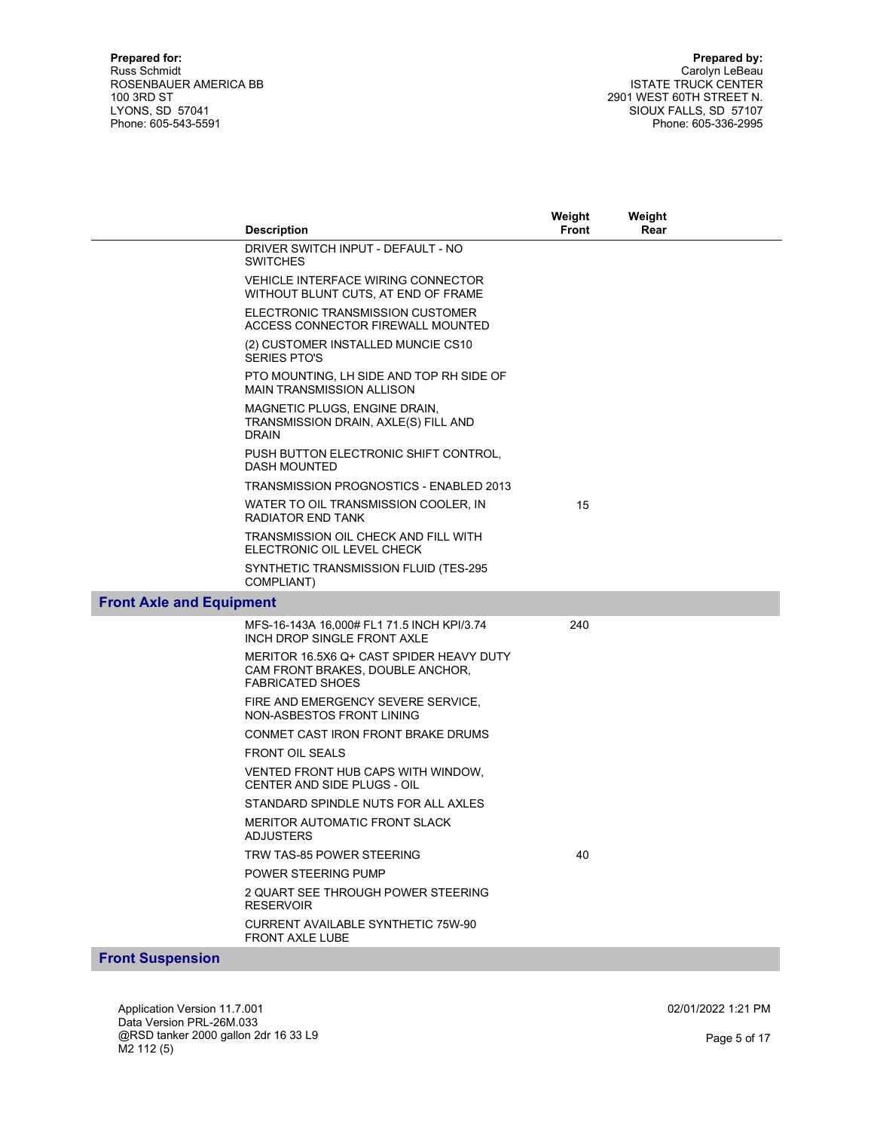|                                 |                                                                                                         | Weight<br><b>Front</b> | Weight<br>Rear |  |
|---------------------------------|---------------------------------------------------------------------------------------------------------|------------------------|----------------|--|
|                                 | <b>Description</b><br>DRIVER SWITCH INPUT - DEFAULT - NO                                                |                        |                |  |
|                                 | <b>SWITCHES</b>                                                                                         |                        |                |  |
|                                 | VEHICLE INTERFACE WIRING CONNECTOR<br>WITHOUT BLUNT CUTS, AT END OF FRAME                               |                        |                |  |
|                                 | ELECTRONIC TRANSMISSION CUSTOMER<br>ACCESS CONNECTOR FIREWALL MOUNTED                                   |                        |                |  |
|                                 | (2) CUSTOMER INSTALLED MUNCIE CS10<br><b>SERIES PTO'S</b>                                               |                        |                |  |
|                                 | PTO MOUNTING, LH SIDE AND TOP RH SIDE OF<br><b>MAIN TRANSMISSION ALLISON</b>                            |                        |                |  |
|                                 | MAGNETIC PLUGS, ENGINE DRAIN.<br>TRANSMISSION DRAIN, AXLE(S) FILL AND<br><b>DRAIN</b>                   |                        |                |  |
|                                 | PUSH BUTTON ELECTRONIC SHIFT CONTROL,<br><b>DASH MOUNTED</b>                                            |                        |                |  |
|                                 | TRANSMISSION PROGNOSTICS - ENABLED 2013                                                                 |                        |                |  |
|                                 | WATER TO OIL TRANSMISSION COOLER, IN<br>RADIATOR END TANK                                               | 15                     |                |  |
|                                 | TRANSMISSION OIL CHECK AND FILL WITH<br>ELECTRONIC OIL LEVEL CHECK                                      |                        |                |  |
|                                 | SYNTHETIC TRANSMISSION FLUID (TES-295<br>COMPLIANT)                                                     |                        |                |  |
| <b>Front Axle and Equipment</b> |                                                                                                         |                        |                |  |
|                                 | MFS-16-143A 16,000# FL1 71.5 INCH KPI/3.74<br>INCH DROP SINGLE FRONT AXLE                               | 240                    |                |  |
|                                 | MERITOR 16.5X6 Q+ CAST SPIDER HEAVY DUTY<br>CAM FRONT BRAKES, DOUBLE ANCHOR,<br><b>FABRICATED SHOES</b> |                        |                |  |
|                                 | FIRE AND EMERGENCY SEVERE SERVICE,<br>NON-ASBESTOS FRONT LINING                                         |                        |                |  |
|                                 | CONMET CAST IRON FRONT BRAKE DRUMS                                                                      |                        |                |  |
|                                 | <b>FRONT OIL SEALS</b>                                                                                  |                        |                |  |
|                                 | VENTED FRONT HUB CAPS WITH WINDOW,<br><b>CENTER AND SIDE PLUGS - OIL</b>                                |                        |                |  |
|                                 | STANDARD SPINDLE NUTS FOR ALL AXLES                                                                     |                        |                |  |
|                                 | <b>MERITOR AUTOMATIC FRONT SLACK</b><br><b>ADJUSTERS</b>                                                |                        |                |  |
|                                 | TRW TAS-85 POWER STEERING                                                                               | 40                     |                |  |
|                                 | POWER STEERING PUMP                                                                                     |                        |                |  |
|                                 | 2 QUART SEE THROUGH POWER STEERING<br><b>RESERVOIR</b>                                                  |                        |                |  |
|                                 | <b>CURRENT AVAILABLE SYNTHETIC 75W-90</b><br>FRONT AXLE LUBE                                            |                        |                |  |
| <b>Front Suspension</b>         |                                                                                                         |                        |                |  |

Application Version 11.7.001 Data Version PRL-26M.033 @RSD tanker 2000 gallon 2dr 16 33 L9 M2 112 (5)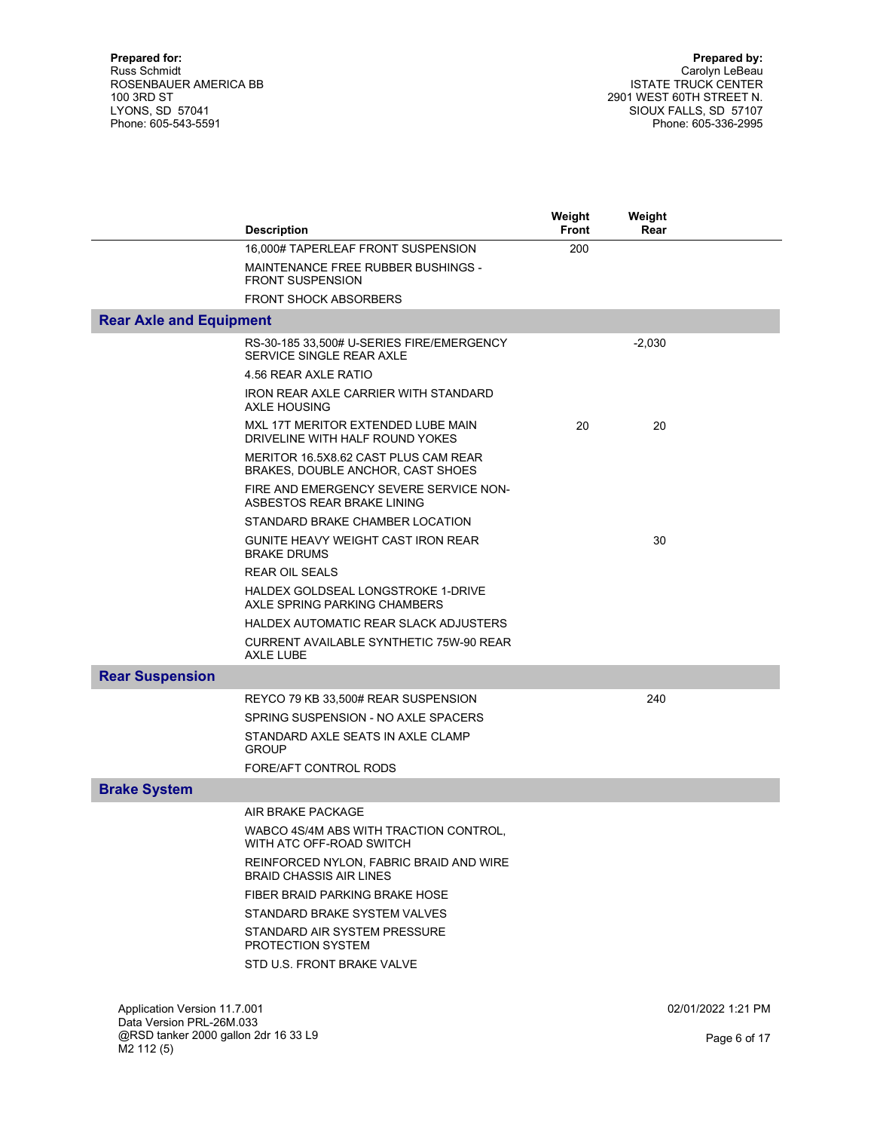|                                                           | <b>Description</b>                                                        | Weight<br><b>Front</b> | Weight<br>Rear |                    |
|-----------------------------------------------------------|---------------------------------------------------------------------------|------------------------|----------------|--------------------|
|                                                           | 16,000# TAPERLEAF FRONT SUSPENSION                                        | 200                    |                |                    |
|                                                           | MAINTENANCE FREE RUBBER BUSHINGS -<br><b>FRONT SUSPENSION</b>             |                        |                |                    |
|                                                           | <b>FRONT SHOCK ABSORBERS</b>                                              |                        |                |                    |
| <b>Rear Axle and Equipment</b>                            |                                                                           |                        |                |                    |
|                                                           | RS-30-185 33,500# U-SERIES FIRE/EMERGENCY<br>SERVICE SINGLE REAR AXLE     |                        | $-2,030$       |                    |
|                                                           | 4.56 REAR AXLE RATIO                                                      |                        |                |                    |
|                                                           | IRON REAR AXLE CARRIER WITH STANDARD<br>AXLE HOUSING                      |                        |                |                    |
|                                                           | MXL 17T MERITOR EXTENDED LUBE MAIN<br>DRIVELINE WITH HALF ROUND YOKES     | 20                     | 20             |                    |
|                                                           | MERITOR 16.5X8.62 CAST PLUS CAM REAR<br>BRAKES, DOUBLE ANCHOR, CAST SHOES |                        |                |                    |
|                                                           | FIRE AND EMERGENCY SEVERE SERVICE NON-<br>ASBESTOS REAR BRAKE LINING      |                        |                |                    |
|                                                           | STANDARD BRAKE CHAMBER LOCATION                                           |                        |                |                    |
|                                                           | GUNITE HEAVY WEIGHT CAST IRON REAR<br><b>BRAKE DRUMS</b>                  |                        | 30             |                    |
|                                                           | <b>REAR OIL SEALS</b>                                                     |                        |                |                    |
|                                                           | HALDEX GOLDSEAL LONGSTROKE 1-DRIVE<br>AXLE SPRING PARKING CHAMBERS        |                        |                |                    |
|                                                           | HALDEX AUTOMATIC REAR SLACK ADJUSTERS                                     |                        |                |                    |
|                                                           | CURRENT AVAILABLE SYNTHETIC 75W-90 REAR<br>AXLE LUBE                      |                        |                |                    |
| <b>Rear Suspension</b>                                    |                                                                           |                        |                |                    |
|                                                           | REYCO 79 KB 33,500# REAR SUSPENSION                                       |                        | 240            |                    |
|                                                           | SPRING SUSPENSION - NO AXLE SPACERS                                       |                        |                |                    |
|                                                           | STANDARD AXLE SEATS IN AXLE CLAMP<br><b>GROUP</b>                         |                        |                |                    |
|                                                           | FORE/AFT CONTROL RODS                                                     |                        |                |                    |
| <b>Brake System</b>                                       |                                                                           |                        |                |                    |
|                                                           | AIR BRAKE PACKAGE                                                         |                        |                |                    |
|                                                           | WABCO 4S/4M ABS WITH TRACTION CONTROL,<br>WITH ATC OFF-ROAD SWITCH        |                        |                |                    |
|                                                           | REINFORCED NYLON, FABRIC BRAID AND WIRE<br><b>BRAID CHASSIS AIR LINES</b> |                        |                |                    |
|                                                           | FIBER BRAID PARKING BRAKE HOSE                                            |                        |                |                    |
|                                                           | STANDARD BRAKE SYSTEM VALVES                                              |                        |                |                    |
|                                                           | STANDARD AIR SYSTEM PRESSURE<br>PROTECTION SYSTEM                         |                        |                |                    |
|                                                           | STD U.S. FRONT BRAKE VALVE                                                |                        |                |                    |
|                                                           |                                                                           |                        |                |                    |
| Application Version 11.7.001<br>Data Version PRI -26M 033 |                                                                           |                        |                | 02/01/2022 1:21 PM |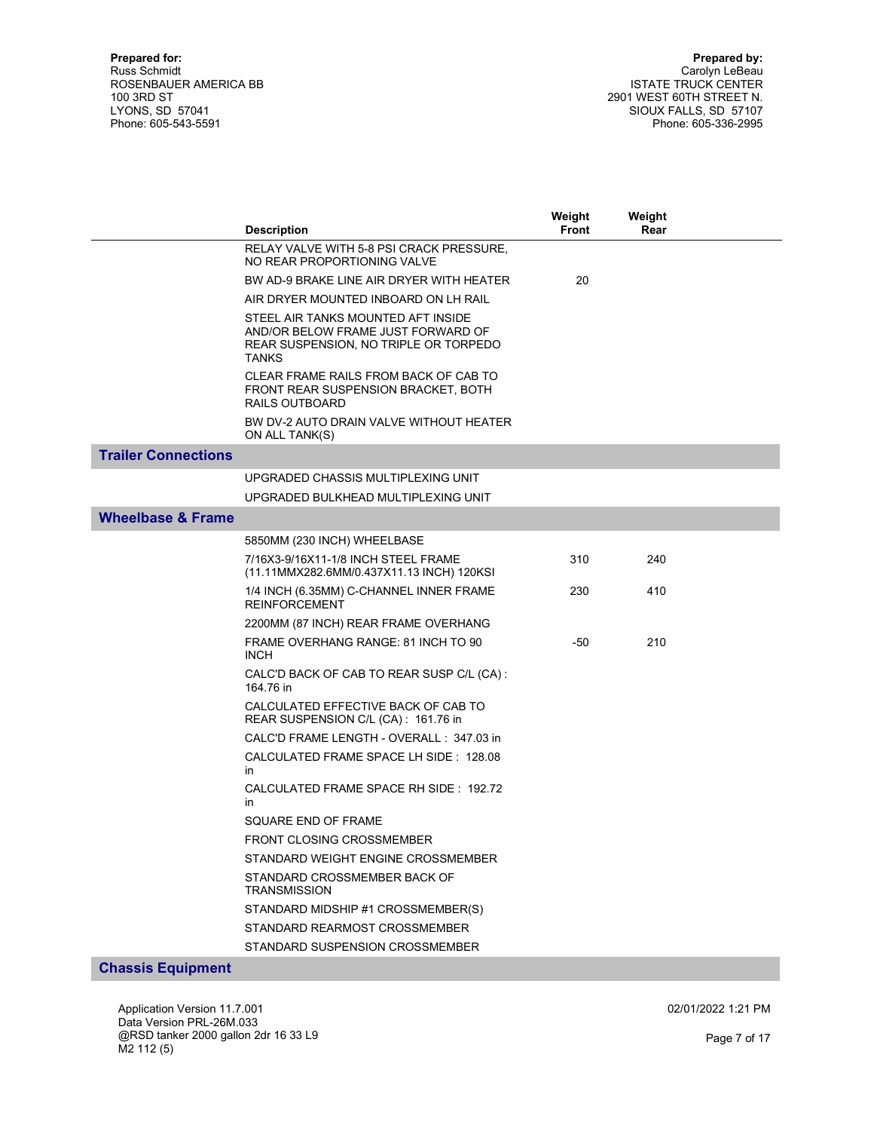|                              | <b>Description</b>                                                                                                                | Weight<br>Front | Weight<br>Rear |  |
|------------------------------|-----------------------------------------------------------------------------------------------------------------------------------|-----------------|----------------|--|
|                              | RELAY VALVE WITH 5-8 PSI CRACK PRESSURE,<br>NO REAR PROPORTIONING VALVE                                                           |                 |                |  |
|                              | BW AD-9 BRAKE LINE AIR DRYER WITH HEATER                                                                                          | 20              |                |  |
|                              | AIR DRYER MOUNTED INBOARD ON LH RAIL                                                                                              |                 |                |  |
|                              | STEEL AIR TANKS MOUNTED AFT INSIDE<br>AND/OR BELOW FRAME JUST FORWARD OF<br>REAR SUSPENSION, NO TRIPLE OR TORPEDO<br><b>TANKS</b> |                 |                |  |
|                              | CLEAR FRAME RAILS FROM BACK OF CAB TO<br>FRONT REAR SUSPENSION BRACKET, BOTH<br>RAILS OUTBOARD                                    |                 |                |  |
|                              | BW DV-2 AUTO DRAIN VALVE WITHOUT HEATER<br>ON ALL TANK(S)                                                                         |                 |                |  |
| <b>Trailer Connections</b>   |                                                                                                                                   |                 |                |  |
|                              | UPGRADED CHASSIS MULTIPLEXING UNIT                                                                                                |                 |                |  |
|                              | UPGRADED BULKHEAD MULTIPLEXING UNIT                                                                                               |                 |                |  |
| <b>Wheelbase &amp; Frame</b> |                                                                                                                                   |                 |                |  |
|                              | 5850MM (230 INCH) WHEELBASE                                                                                                       |                 |                |  |
|                              | 7/16X3-9/16X11-1/8 INCH STEEL FRAME<br>(11.11MMX282.6MM/0.437X11.13 INCH) 120KSI                                                  | 310             | 240            |  |
|                              | 1/4 INCH (6.35MM) C-CHANNEL INNER FRAME<br><b>REINFORCEMENT</b>                                                                   | 230             | 410            |  |
|                              | 2200MM (87 INCH) REAR FRAME OVERHANG                                                                                              |                 |                |  |
|                              | FRAME OVERHANG RANGE: 81 INCH TO 90<br><b>INCH</b>                                                                                | -50             | 210            |  |
|                              | CALC'D BACK OF CAB TO REAR SUSP C/L (CA):<br>164.76 in                                                                            |                 |                |  |
|                              | CALCULATED EFFECTIVE BACK OF CAB TO<br>REAR SUSPENSION C/L (CA): 161.76 in                                                        |                 |                |  |
|                              | CALC'D FRAME LENGTH - OVERALL : 347.03 in                                                                                         |                 |                |  |
|                              | CALCULATED FRAME SPACE LH SIDE: 128.08<br>in                                                                                      |                 |                |  |
|                              | CALCULATED FRAME SPACE RH SIDE: 192.72<br>in                                                                                      |                 |                |  |
|                              | SQUARE END OF FRAME                                                                                                               |                 |                |  |
|                              | <b>FRONT CLOSING CROSSMEMBER</b>                                                                                                  |                 |                |  |
|                              | STANDARD WEIGHT ENGINE CROSSMEMBER                                                                                                |                 |                |  |
|                              | STANDARD CROSSMEMBER BACK OF<br><b>TRANSMISSION</b>                                                                               |                 |                |  |
|                              | STANDARD MIDSHIP #1 CROSSMEMBER(S)                                                                                                |                 |                |  |
|                              | STANDARD REARMOST CROSSMEMBER                                                                                                     |                 |                |  |
|                              | STANDARD SUSPENSION CROSSMEMBER                                                                                                   |                 |                |  |

Chassis Equipment

Application Version 11.7.001 Data Version PRL-26M.033 @RSD tanker 2000 gallon 2dr 16 33 L9 M2 112 (5)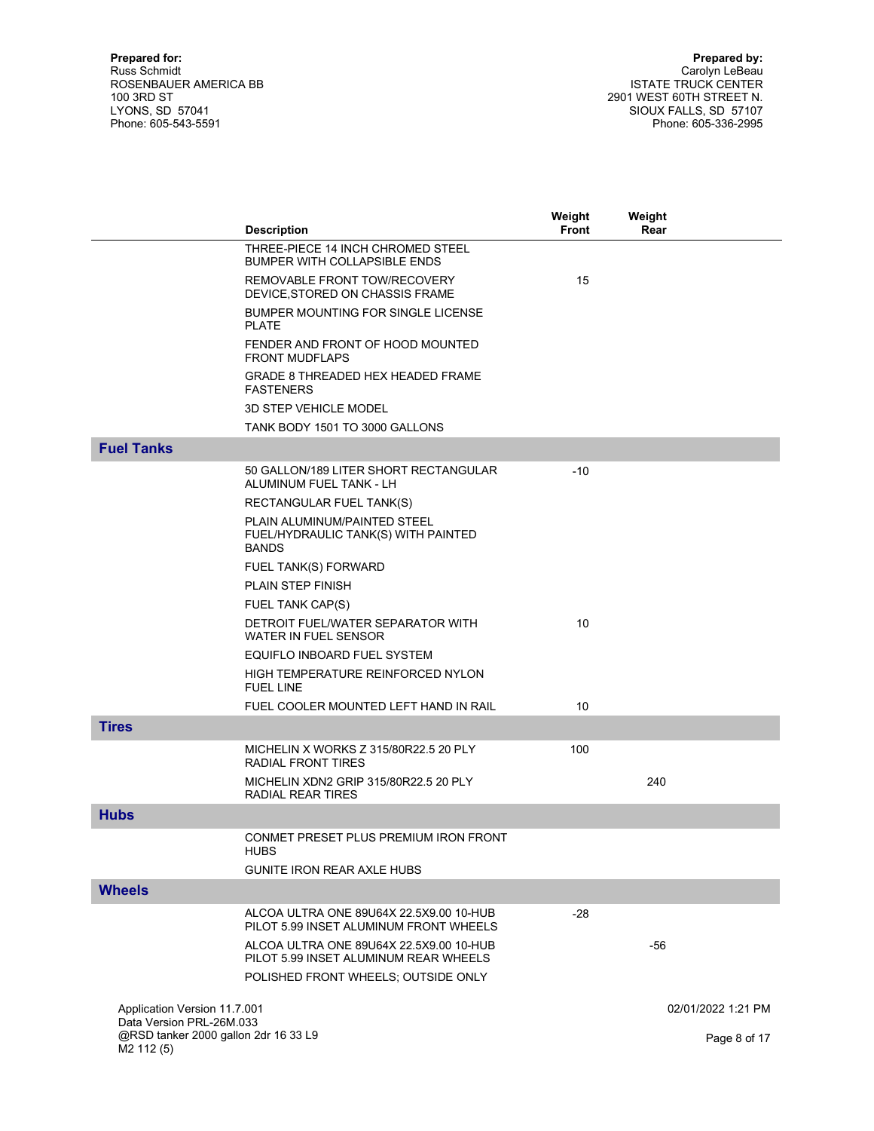|                                                                | <b>Description</b>                                                                  | Weight<br><b>Front</b> | Weight<br>Rear     |
|----------------------------------------------------------------|-------------------------------------------------------------------------------------|------------------------|--------------------|
|                                                                | THREE-PIECE 14 INCH CHROMED STEEL<br><b>BUMPER WITH COLLAPSIBLE ENDS</b>            |                        |                    |
|                                                                | REMOVABLE FRONT TOW/RECOVERY<br>DEVICE, STORED ON CHASSIS FRAME                     | 15                     |                    |
|                                                                | BUMPER MOUNTING FOR SINGLE LICENSE<br><b>PLATE</b>                                  |                        |                    |
|                                                                | FENDER AND FRONT OF HOOD MOUNTED<br><b>FRONT MUDFLAPS</b>                           |                        |                    |
|                                                                | <b>GRADE 8 THREADED HEX HEADED FRAME</b><br><b>FASTENERS</b>                        |                        |                    |
|                                                                | <b>3D STEP VEHICLE MODEL</b>                                                        |                        |                    |
|                                                                | TANK BODY 1501 TO 3000 GALLONS                                                      |                        |                    |
| <b>Fuel Tanks</b>                                              |                                                                                     |                        |                    |
|                                                                | 50 GALLON/189 LITER SHORT RECTANGULAR<br>ALUMINUM FUEL TANK - LH                    | -10                    |                    |
|                                                                | RECTANGULAR FUEL TANK(S)                                                            |                        |                    |
|                                                                | PLAIN ALUMINUM/PAINTED STEEL<br>FUEL/HYDRAULIC TANK(S) WITH PAINTED<br><b>BANDS</b> |                        |                    |
|                                                                | FUEL TANK(S) FORWARD                                                                |                        |                    |
|                                                                | <b>PLAIN STEP FINISH</b>                                                            |                        |                    |
|                                                                | FUEL TANK CAP(S)                                                                    |                        |                    |
|                                                                | DETROIT FUEL/WATER SEPARATOR WITH<br>WATER IN FUEL SENSOR                           | 10                     |                    |
|                                                                | EQUIFLO INBOARD FUEL SYSTEM                                                         |                        |                    |
|                                                                | HIGH TEMPERATURE REINFORCED NYLON<br><b>FUEL LINE</b>                               |                        |                    |
|                                                                | FUEL COOLER MOUNTED LEFT HAND IN RAIL                                               | 10                     |                    |
| <b>Tires</b>                                                   |                                                                                     |                        |                    |
|                                                                | MICHELIN X WORKS Z 315/80R22.5 20 PLY<br>RADIAL FRONT TIRES                         | 100                    |                    |
|                                                                | MICHELIN XDN2 GRIP 315/80R22.5 20 PLY<br>RADIAL REAR TIRES                          |                        | 240                |
| <b>Hubs</b>                                                    |                                                                                     |                        |                    |
|                                                                | CONMET PRESET PLUS PREMIUM IRON FRONT<br><b>HUBS</b>                                |                        |                    |
|                                                                | <b>GUNITE IRON REAR AXLE HUBS</b>                                                   |                        |                    |
| <b>Wheels</b>                                                  |                                                                                     |                        |                    |
|                                                                | ALCOA ULTRA ONE 89U64X 22.5X9.00 10-HUB<br>PILOT 5.99 INSET ALUMINUM FRONT WHEELS   | $-28$                  |                    |
|                                                                | ALCOA ULTRA ONE 89U64X 22.5X9.00 10-HUB<br>PILOT 5.99 INSET ALUMINUM REAR WHEELS    |                        | -56                |
|                                                                | POLISHED FRONT WHEELS; OUTSIDE ONLY                                                 |                        |                    |
|                                                                |                                                                                     |                        |                    |
| Application Version 11.7.001<br>Data Version PRL-26M.033       |                                                                                     |                        | 02/01/2022 1:21 PM |
| @RSD tanker 2000 gallon 2dr 16 33 L9<br>M <sub>2</sub> 112 (5) |                                                                                     |                        | Page 8 of 17       |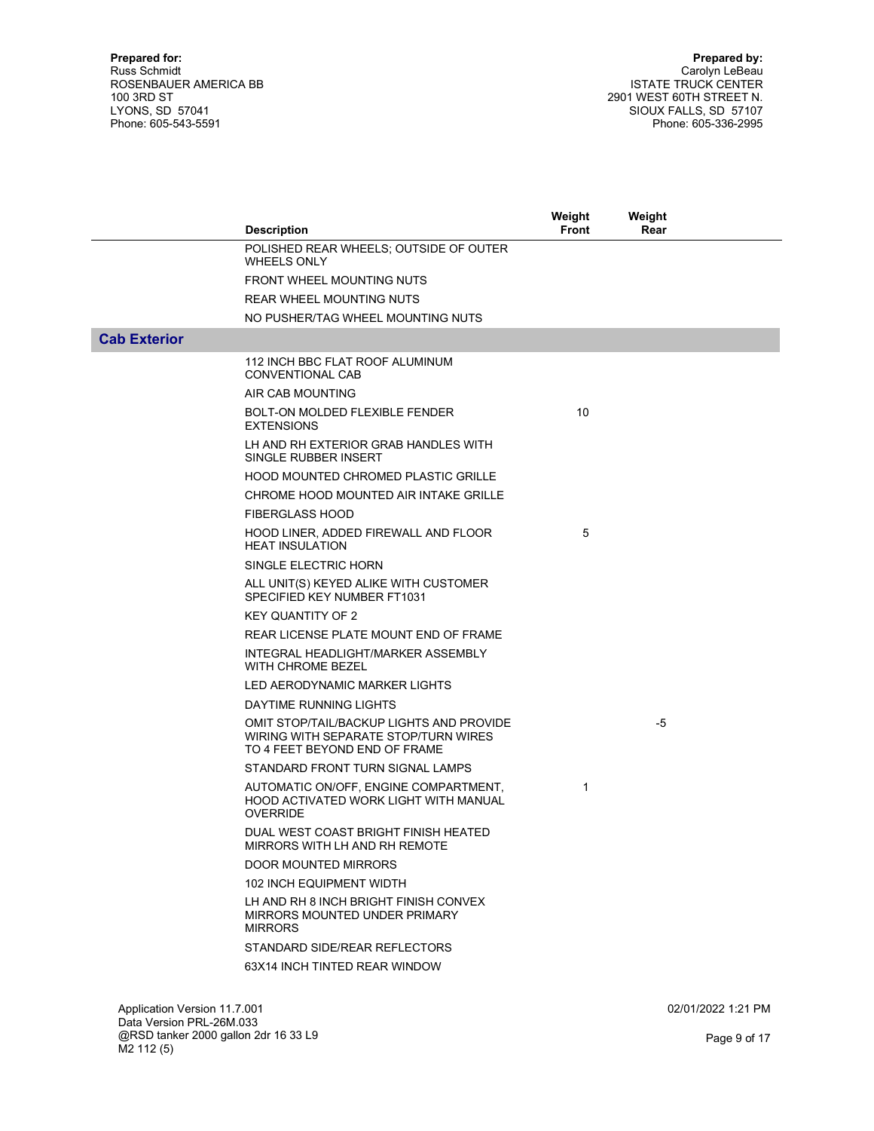|                     | <b>Description</b>                                                                                                | Weight<br>Front | Weight<br>Rear |  |
|---------------------|-------------------------------------------------------------------------------------------------------------------|-----------------|----------------|--|
|                     | POLISHED REAR WHEELS; OUTSIDE OF OUTER                                                                            |                 |                |  |
|                     | <b>WHEELS ONLY</b>                                                                                                |                 |                |  |
|                     | <b>FRONT WHEEL MOUNTING NUTS</b>                                                                                  |                 |                |  |
|                     | <b>REAR WHEEL MOUNTING NUTS</b>                                                                                   |                 |                |  |
|                     | NO PUSHER/TAG WHEEL MOUNTING NUTS                                                                                 |                 |                |  |
| <b>Cab Exterior</b> |                                                                                                                   |                 |                |  |
|                     | 112 INCH BBC FLAT ROOF ALUMINUM<br><b>CONVENTIONAL CAB</b>                                                        |                 |                |  |
|                     | AIR CAB MOUNTING                                                                                                  |                 |                |  |
|                     | BOLT-ON MOLDED FLEXIBLE FENDER<br><b>EXTENSIONS</b>                                                               | 10              |                |  |
|                     | LH AND RH EXTERIOR GRAB HANDLES WITH<br>SINGLE RUBBER INSERT                                                      |                 |                |  |
|                     | <b>HOOD MOUNTED CHROMED PLASTIC GRILLE</b>                                                                        |                 |                |  |
|                     | CHROME HOOD MOUNTED AIR INTAKE GRILLE                                                                             |                 |                |  |
|                     | <b>FIBERGLASS HOOD</b>                                                                                            |                 |                |  |
|                     | HOOD LINER, ADDED FIREWALL AND FLOOR<br><b>HEAT INSULATION</b>                                                    | 5               |                |  |
|                     | SINGLE ELECTRIC HORN                                                                                              |                 |                |  |
|                     | ALL UNIT(S) KEYED ALIKE WITH CUSTOMER<br>SPECIFIED KEY NUMBER FT1031                                              |                 |                |  |
|                     | <b>KEY QUANTITY OF 2</b>                                                                                          |                 |                |  |
|                     | REAR LICENSE PLATE MOUNT END OF FRAME                                                                             |                 |                |  |
|                     | INTEGRAL HEADLIGHT/MARKER ASSEMBLY<br>WITH CHROME BEZEL                                                           |                 |                |  |
|                     | LED AERODYNAMIC MARKER LIGHTS                                                                                     |                 |                |  |
|                     | DAYTIME RUNNING LIGHTS                                                                                            |                 |                |  |
|                     | OMIT STOP/TAIL/BACKUP LIGHTS AND PROVIDE<br>WIRING WITH SEPARATE STOP/TURN WIRES<br>TO 4 FEET BEYOND END OF FRAME |                 | $-5$           |  |
|                     | STANDARD FRONT TURN SIGNAL LAMPS                                                                                  |                 |                |  |
|                     | AUTOMATIC ON/OFF, ENGINE COMPARTMENT,<br>HOOD ACTIVATED WORK LIGHT WITH MANUAL<br><b>OVERRIDE</b>                 | 1               |                |  |
|                     | DUAL WEST COAST BRIGHT FINISH HEATED<br>MIRRORS WITH LH AND RH REMOTE                                             |                 |                |  |
|                     | DOOR MOUNTED MIRRORS                                                                                              |                 |                |  |
|                     | <b>102 INCH EQUIPMENT WIDTH</b>                                                                                   |                 |                |  |
|                     | LH AND RH 8 INCH BRIGHT FINISH CONVEX<br>MIRRORS MOUNTED UNDER PRIMARY<br><b>MIRRORS</b>                          |                 |                |  |
|                     | STANDARD SIDE/REAR REFLECTORS                                                                                     |                 |                |  |
|                     | 63X14 INCH TINTED REAR WINDOW                                                                                     |                 |                |  |
|                     |                                                                                                                   |                 |                |  |

Application Version 11.7.001 Data Version PRL-26M.033 @RSD tanker 2000 gallon 2dr 16 33 L9 M2 112 (5)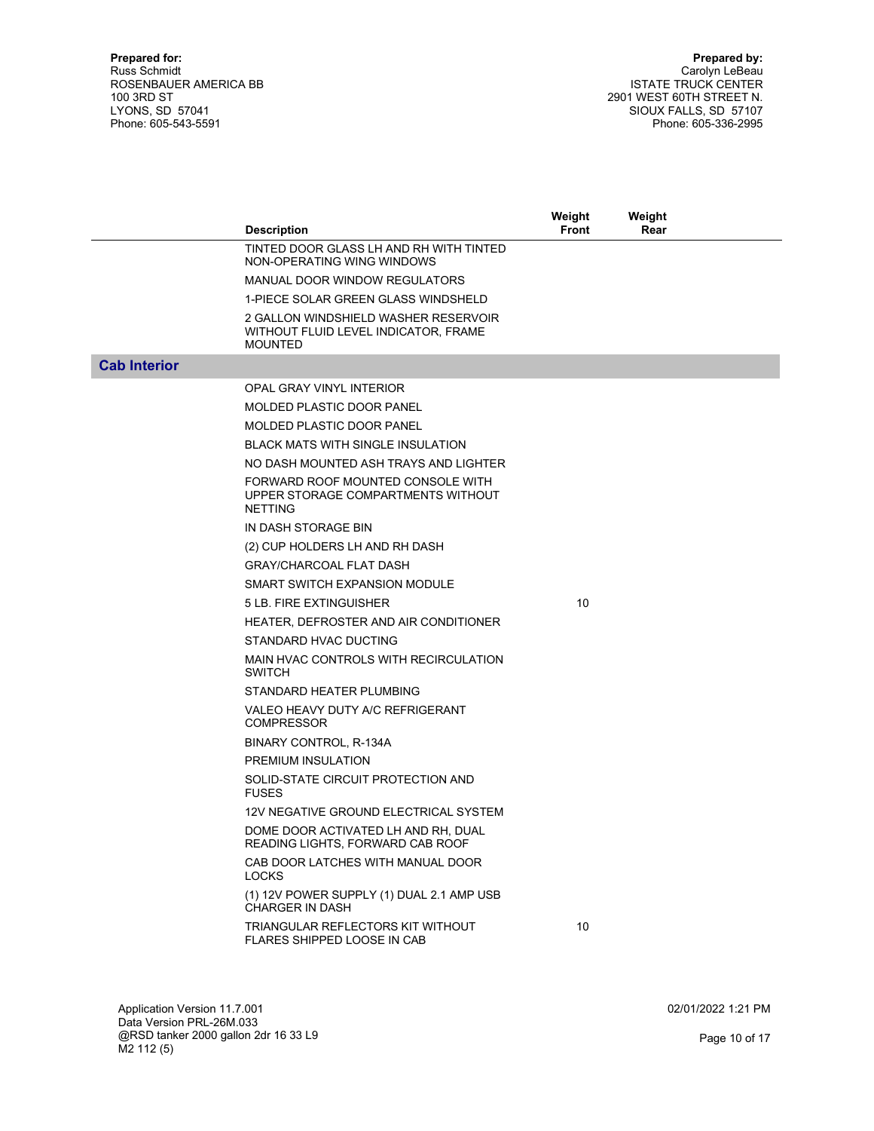|                     |                                                                                                | Weight | Weight |  |
|---------------------|------------------------------------------------------------------------------------------------|--------|--------|--|
|                     | <b>Description</b>                                                                             | Front  | Rear   |  |
|                     | TINTED DOOR GLASS LH AND RH WITH TINTED<br>NON-OPERATING WING WINDOWS                          |        |        |  |
|                     | MANUAL DOOR WINDOW REGULATORS                                                                  |        |        |  |
|                     | 1-PIECE SOLAR GREEN GLASS WINDSHELD                                                            |        |        |  |
|                     | 2 GALLON WINDSHIELD WASHER RESERVOIR<br>WITHOUT FLUID LEVEL INDICATOR, FRAME<br><b>MOUNTED</b> |        |        |  |
| <b>Cab Interior</b> |                                                                                                |        |        |  |
|                     | OPAL GRAY VINYL INTERIOR                                                                       |        |        |  |
|                     | MOLDED PLASTIC DOOR PANEL                                                                      |        |        |  |
|                     | <b>MOLDED PLASTIC DOOR PANEL</b>                                                               |        |        |  |
|                     | <b>BLACK MATS WITH SINGLE INSULATION</b>                                                       |        |        |  |
|                     | NO DASH MOUNTED ASH TRAYS AND LIGHTER                                                          |        |        |  |
|                     | FORWARD ROOF MOUNTED CONSOLE WITH<br>UPPER STORAGE COMPARTMENTS WITHOUT<br><b>NETTING</b>      |        |        |  |
|                     | IN DASH STORAGE BIN                                                                            |        |        |  |
|                     | (2) CUP HOLDERS LH AND RH DASH                                                                 |        |        |  |
|                     | <b>GRAY/CHARCOAL FLAT DASH</b>                                                                 |        |        |  |
|                     | SMART SWITCH EXPANSION MODULE                                                                  |        |        |  |
|                     | 5 LB. FIRE EXTINGUISHER                                                                        | 10     |        |  |
|                     | HEATER, DEFROSTER AND AIR CONDITIONER                                                          |        |        |  |
|                     | STANDARD HVAC DUCTING                                                                          |        |        |  |
|                     | MAIN HVAC CONTROLS WITH RECIRCULATION<br><b>SWITCH</b>                                         |        |        |  |
|                     | STANDARD HEATER PLUMBING                                                                       |        |        |  |
|                     | VALEO HEAVY DUTY A/C REFRIGERANT<br><b>COMPRESSOR</b>                                          |        |        |  |
|                     | BINARY CONTROL, R-134A                                                                         |        |        |  |
|                     | PREMIUM INSULATION                                                                             |        |        |  |
|                     | SOLID-STATE CIRCUIT PROTECTION AND<br><b>FUSES</b>                                             |        |        |  |
|                     | 12V NEGATIVE GROUND ELECTRICAL SYSTEM                                                          |        |        |  |
|                     | DOME DOOR ACTIVATED LH AND RH, DUAL<br>READING LIGHTS, FORWARD CAB ROOF                        |        |        |  |
|                     | CAB DOOR LATCHES WITH MANUAL DOOR<br><b>LOCKS</b>                                              |        |        |  |
|                     | (1) 12V POWER SUPPLY (1) DUAL 2.1 AMP USB<br>CHARGER IN DASH                                   |        |        |  |
|                     | TRIANGULAR REFLECTORS KIT WITHOUT<br>FLARES SHIPPED LOOSE IN CAB                               | 10     |        |  |

Application Version 11.7.001 Data Version PRL-26M.033 @RSD tanker 2000 gallon 2dr 16 33 L9 M2 112 (5)

02/01/2022 1:21 PM

Page 10 of 17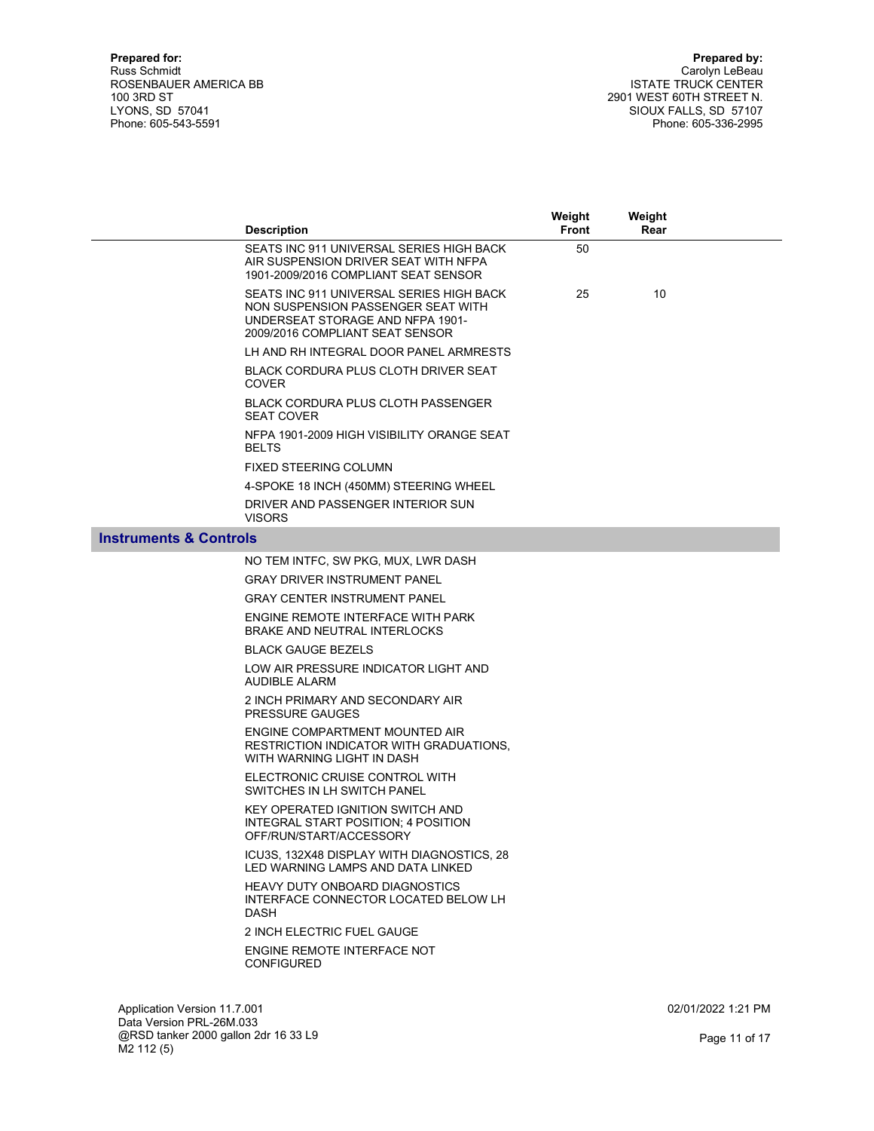|                                   | <b>Description</b>                                                                                                                                    | Weight<br>Front | Weight<br>Rear |  |
|-----------------------------------|-------------------------------------------------------------------------------------------------------------------------------------------------------|-----------------|----------------|--|
|                                   | SEATS INC 911 UNIVERSAL SERIES HIGH BACK<br>AIR SUSPENSION DRIVER SEAT WITH NFPA<br>1901-2009/2016 COMPLIANT SEAT SENSOR                              | 50              |                |  |
|                                   | SEATS INC 911 UNIVERSAL SERIES HIGH BACK<br>NON SUSPENSION PASSENGER SEAT WITH<br>UNDERSEAT STORAGE AND NFPA 1901-<br>2009/2016 COMPLIANT SEAT SENSOR | 25              | 10             |  |
|                                   | LH AND RH INTEGRAL DOOR PANEL ARMRESTS                                                                                                                |                 |                |  |
|                                   | <b>BLACK CORDURA PLUS CLOTH DRIVER SEAT</b><br><b>COVER</b>                                                                                           |                 |                |  |
|                                   | <b>BLACK CORDURA PLUS CLOTH PASSENGER</b><br><b>SEAT COVER</b>                                                                                        |                 |                |  |
|                                   | NFPA 1901-2009 HIGH VISIBILITY ORANGE SEAT<br><b>BELTS</b>                                                                                            |                 |                |  |
|                                   | FIXED STEERING COLUMN                                                                                                                                 |                 |                |  |
|                                   | 4-SPOKE 18 INCH (450MM) STEERING WHEEL                                                                                                                |                 |                |  |
|                                   | DRIVER AND PASSENGER INTERIOR SUN<br><b>VISORS</b>                                                                                                    |                 |                |  |
| <b>Instruments &amp; Controls</b> |                                                                                                                                                       |                 |                |  |
|                                   | NO TEM INTFC, SW PKG, MUX, LWR DASH                                                                                                                   |                 |                |  |
|                                   | <b>GRAY DRIVER INSTRUMENT PANEL</b>                                                                                                                   |                 |                |  |
|                                   | <b>GRAY CENTER INSTRUMENT PANEL</b>                                                                                                                   |                 |                |  |
|                                   | ENGINE REMOTE INTERFACE WITH PARK<br><b>BRAKE AND NEUTRAL INTERLOCKS</b>                                                                              |                 |                |  |
|                                   | <b>BLACK GAUGE BEZELS</b>                                                                                                                             |                 |                |  |
|                                   | LOW AIR PRESSURE INDICATOR LIGHT AND<br>AUDIBLE ALARM                                                                                                 |                 |                |  |
|                                   | 2 INCH PRIMARY AND SECONDARY AIR<br><b>PRESSURE GAUGES</b>                                                                                            |                 |                |  |
|                                   | ENGINE COMPARTMENT MOUNTED AIR<br>RESTRICTION INDICATOR WITH GRADUATIONS,<br>WITH WARNING LIGHT IN DASH                                               |                 |                |  |
|                                   | ELECTRONIC CRUISE CONTROL WITH<br>SWITCHES IN LH SWITCH PANEL                                                                                         |                 |                |  |
|                                   | <b>KEY OPERATED IGNITION SWITCH AND</b><br>INTEGRAL START POSITION; 4 POSITION<br>OFF/RUN/START/ACCESSORY                                             |                 |                |  |
|                                   | ICU3S, 132X48 DISPLAY WITH DIAGNOSTICS, 28<br>LED WARNING LAMPS AND DATA LINKED                                                                       |                 |                |  |
|                                   | <b>HEAVY DUTY ONBOARD DIAGNOSTICS</b><br>INTERFACE CONNECTOR LOCATED BELOW LH<br><b>DASH</b>                                                          |                 |                |  |
|                                   | 2 INCH ELECTRIC FUEL GAUGE                                                                                                                            |                 |                |  |
|                                   | ENGINE REMOTE INTERFACE NOT<br><b>CONFIGURED</b>                                                                                                      |                 |                |  |
|                                   |                                                                                                                                                       |                 |                |  |

Application Version 11.7.001 Data Version PRL-26M.033 @RSD tanker 2000 gallon 2dr 16 33 L9 M2 112 (5)

02/01/2022 1:21 PM

Page 11 of 17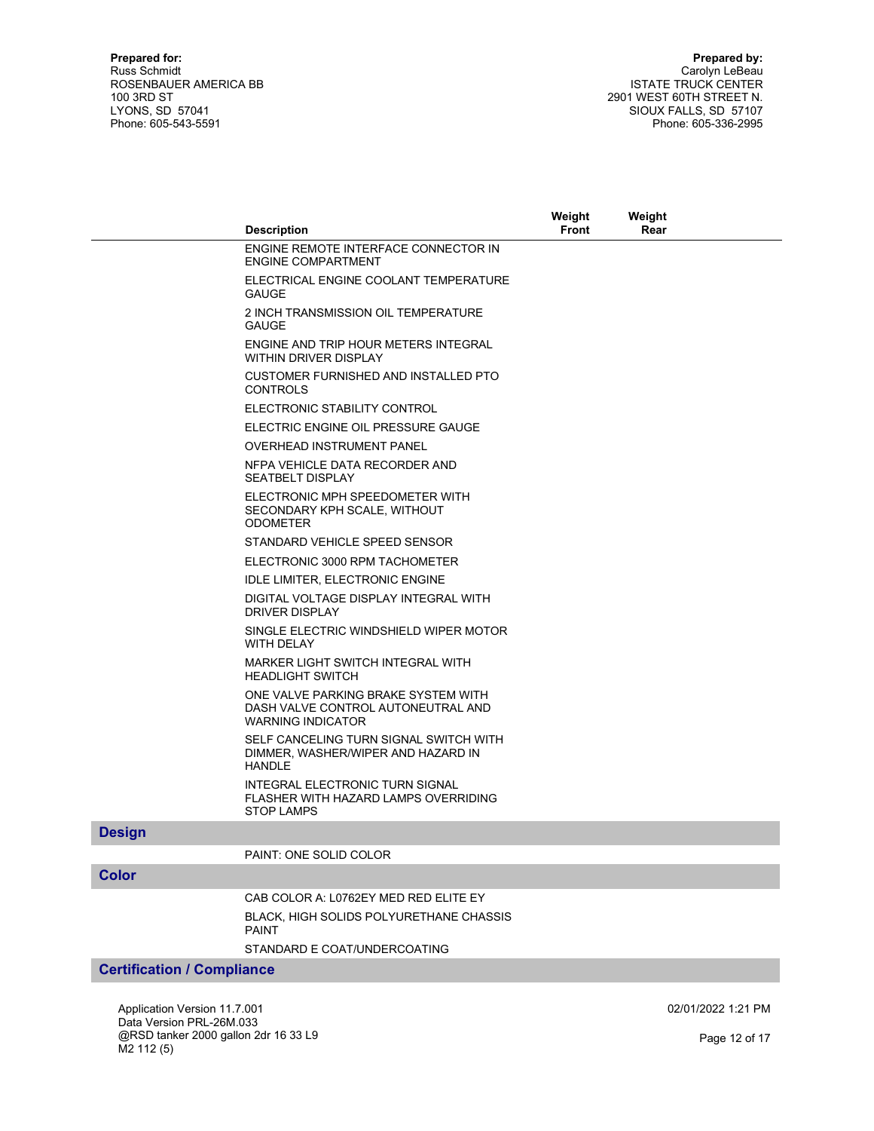|               |                                                                                                       | Weight       | Weight |  |
|---------------|-------------------------------------------------------------------------------------------------------|--------------|--------|--|
|               | <b>Description</b>                                                                                    | <b>Front</b> | Rear   |  |
|               | ENGINE REMOTE INTERFACE CONNECTOR IN<br><b>ENGINE COMPARTMENT</b>                                     |              |        |  |
|               | ELECTRICAL ENGINE COOLANT TEMPERATURE<br><b>GAUGE</b>                                                 |              |        |  |
|               | 2 INCH TRANSMISSION OIL TEMPERATURE<br><b>GAUGE</b>                                                   |              |        |  |
|               | ENGINE AND TRIP HOUR METERS INTEGRAL<br><b>WITHIN DRIVER DISPLAY</b>                                  |              |        |  |
|               | CUSTOMER FURNISHED AND INSTALLED PTO<br><b>CONTROLS</b>                                               |              |        |  |
|               | ELECTRONIC STABILITY CONTROL                                                                          |              |        |  |
|               | ELECTRIC ENGINE OIL PRESSURE GAUGE                                                                    |              |        |  |
|               | <b>OVERHEAD INSTRUMENT PANEL</b>                                                                      |              |        |  |
|               | NFPA VEHICLE DATA RECORDER AND<br><b>SEATBELT DISPLAY</b>                                             |              |        |  |
|               | ELECTRONIC MPH SPEEDOMETER WITH<br>SECONDARY KPH SCALE, WITHOUT<br><b>ODOMETER</b>                    |              |        |  |
|               | STANDARD VEHICLE SPEED SENSOR                                                                         |              |        |  |
|               | ELECTRONIC 3000 RPM TACHOMETER                                                                        |              |        |  |
|               | <b>IDLE LIMITER, ELECTRONIC ENGINE</b>                                                                |              |        |  |
|               | DIGITAL VOLTAGE DISPLAY INTEGRAL WITH<br>DRIVER DISPLAY                                               |              |        |  |
|               | SINGLE ELECTRIC WINDSHIELD WIPER MOTOR<br><b>WITH DELAY</b>                                           |              |        |  |
|               | MARKER LIGHT SWITCH INTEGRAL WITH<br><b>HEADLIGHT SWITCH</b>                                          |              |        |  |
|               | ONE VALVE PARKING BRAKE SYSTEM WITH<br>DASH VALVE CONTROL AUTONEUTRAL AND<br><b>WARNING INDICATOR</b> |              |        |  |
|               | SELF CANCELING TURN SIGNAL SWITCH WITH<br>DIMMER, WASHER/WIPER AND HAZARD IN<br><b>HANDLE</b>         |              |        |  |
|               | <b>INTEGRAL ELECTRONIC TURN SIGNAL</b><br>FLASHER WITH HAZARD LAMPS OVERRIDING<br><b>STOP LAMPS</b>   |              |        |  |
| <b>Design</b> |                                                                                                       |              |        |  |
|               | PAINT: ONE SOLID COLOR                                                                                |              |        |  |
| <b>Color</b>  |                                                                                                       |              |        |  |
|               | CAB COLOR A: L0762EY MED RED ELITE EY                                                                 |              |        |  |
|               | <b>BLACK, HIGH SOLIDS POLYURETHANE CHASSIS</b><br><b>PAINT</b>                                        |              |        |  |
|               | STANDARD E COAT/UNDERCOATING                                                                          |              |        |  |

## Certification / Compliance

Application Version 11.7.001 Data Version PRL-26M.033 @RSD tanker 2000 gallon 2dr 16 33 L9 M2 112 (5)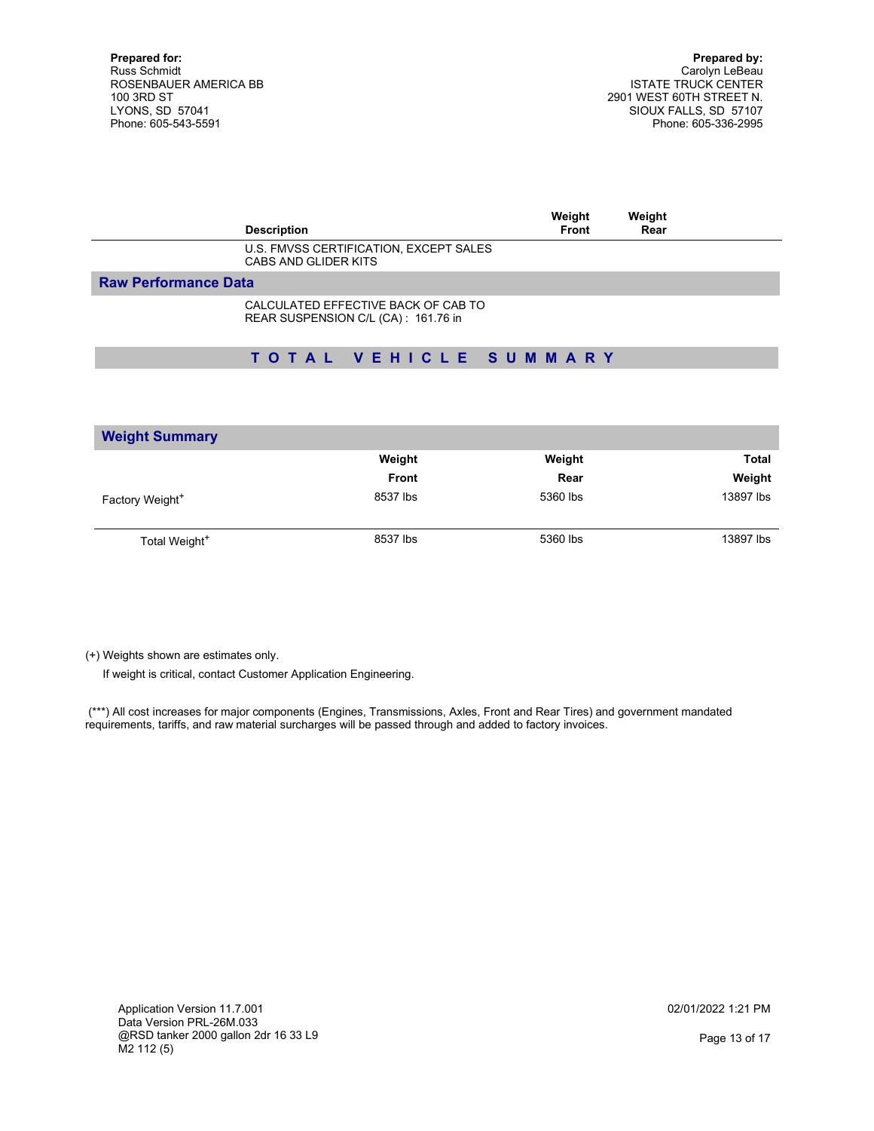| <b>Description</b>                                                         | Weight<br>Front | Weight<br>Rear |  |
|----------------------------------------------------------------------------|-----------------|----------------|--|
| U.S. FMVSS CERTIFICATION, EXCEPT SALES<br><b>CABS AND GLIDER KITS</b>      |                 |                |  |
| <b>Raw Performance Data</b>                                                |                 |                |  |
| CALCULATED EFFECTIVE BACK OF CAB TO<br>REAR SUSPENSION C/L (CA): 161.76 in |                 |                |  |
| TOTAL VEHICLE SUMMARY                                                      |                 |                |  |

| <b>Weight Summary</b>       |              |          |              |
|-----------------------------|--------------|----------|--------------|
|                             | Weight       | Weight   | <b>Total</b> |
|                             | <b>Front</b> | Rear     | Weight       |
| Factory Weight <sup>+</sup> | 8537 lbs     | 5360 lbs | 13897 lbs    |
| Total Weight <sup>+</sup>   | 8537 lbs     | 5360 lbs | 13897 lbs    |

(+) Weights shown are estimates only.

If weight is critical, contact Customer Application Engineering.

 (\*\*\*) All cost increases for major components (Engines, Transmissions, Axles, Front and Rear Tires) and government mandated requirements, tariffs, and raw material surcharges will be passed through and added to factory invoices.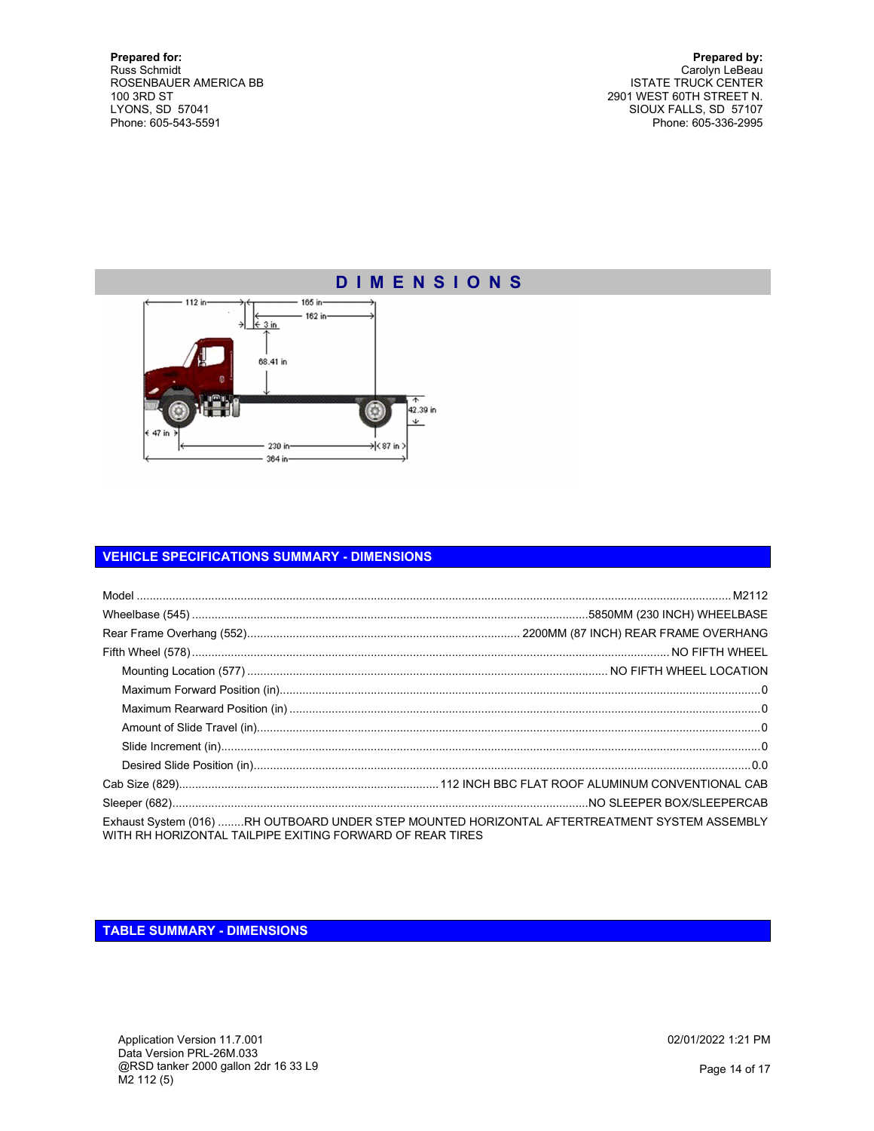Prepared by: Carolyn LeBeau ISTATE TRUCK CENTER 2901 WEST 60TH STREET N. SIOUX FALLS, SD 57107 Phone: 605-336-2995

# D I M E N S I O N S



### VEHICLE SPECIFICATIONS SUMMARY - DIMENSIONS

| Exhaust System (016) RH OUTBOARD UNDER STEP MOUNTED HORIZONTAL AFTERTREATMENT SYSTEM ASSEMBLY<br>WITH RH HORIZONTAL TAILPIPE EXITING FORWARD OF REAR TIRES |  |
|------------------------------------------------------------------------------------------------------------------------------------------------------------|--|

TABLE SUMMARY - DIMENSIONS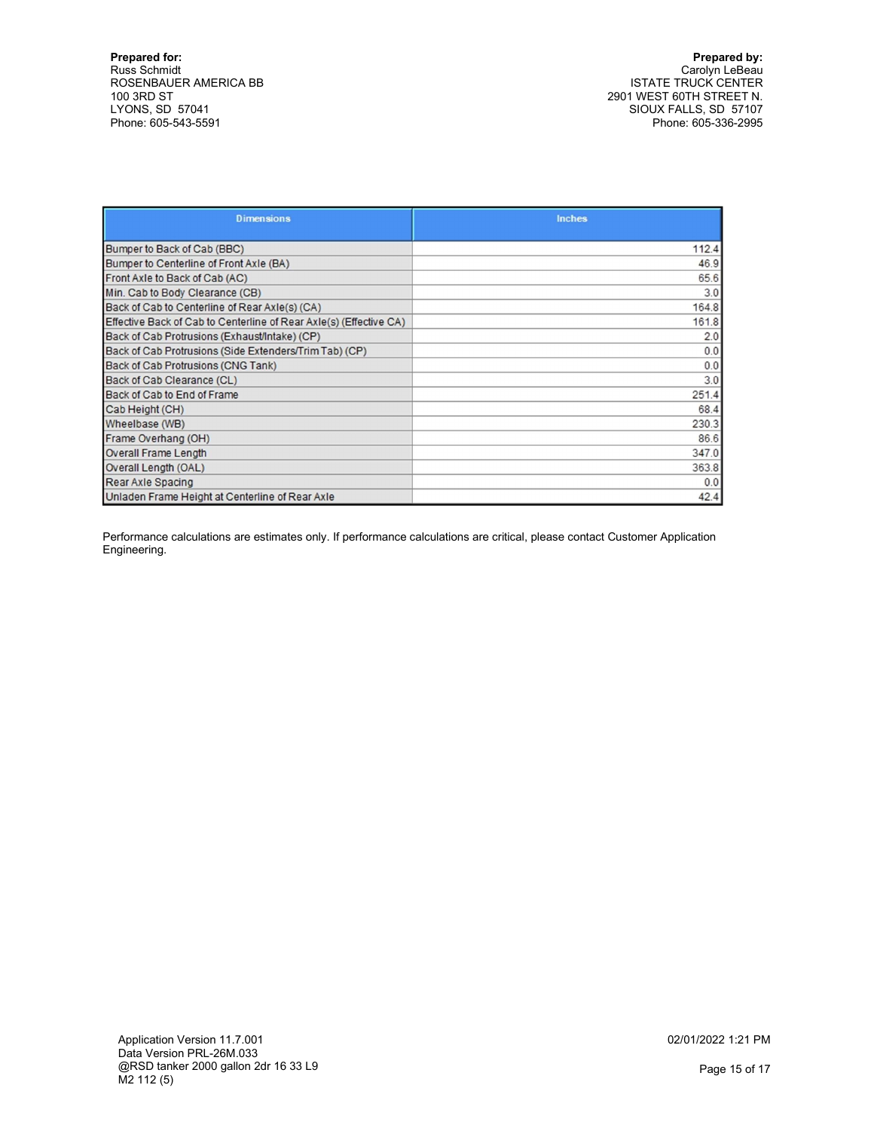Prepared by: Carolyn LeBeau ISTATE TRUCK CENTER 2901 WEST 60TH STREET N. SIOUX FALLS, SD 57107 Phone: 605-336-2995

| <b>Dimensions</b>                                                  | <b>Inches</b> |
|--------------------------------------------------------------------|---------------|
|                                                                    |               |
| Bumper to Back of Cab (BBC)                                        | 112.4         |
| Bumper to Centerline of Front Axle (BA)                            | 46.9          |
| Front Axle to Back of Cab (AC)                                     | 65.6          |
| Min. Cab to Body Clearance (CB)                                    | 3.0           |
| Back of Cab to Centerline of Rear Axle(s) (CA)                     | 164.8         |
| Effective Back of Cab to Centerline of Rear AxIe(s) (Effective CA) | 161.8         |
| Back of Cab Protrusions (Exhaust/Intake) (CP)                      | 2.0           |
| Back of Cab Protrusions (Side Extenders/Trim Tab) (CP)             | 0.0           |
| Back of Cab Protrusions (CNG Tank)                                 | 0.0           |
| Back of Cab Clearance (CL)                                         | 3.0           |
| Back of Cab to End of Frame                                        | 251.4         |
| Cab Height (CH)                                                    | 68.4          |
| Wheelbase (WB)                                                     | 230.3         |
| Frame Overhang (OH)                                                | 86.6          |
| <b>Overall Frame Length</b>                                        | 347.0         |
| Overall Length (OAL)                                               | 363.8         |
| Rear Axle Spacing                                                  | 0.0           |
| Unladen Frame Height at Centerline of Rear Axle                    | 42.4          |

Performance calculations are estimates only. If performance calculations are critical, please contact Customer Application Engineering.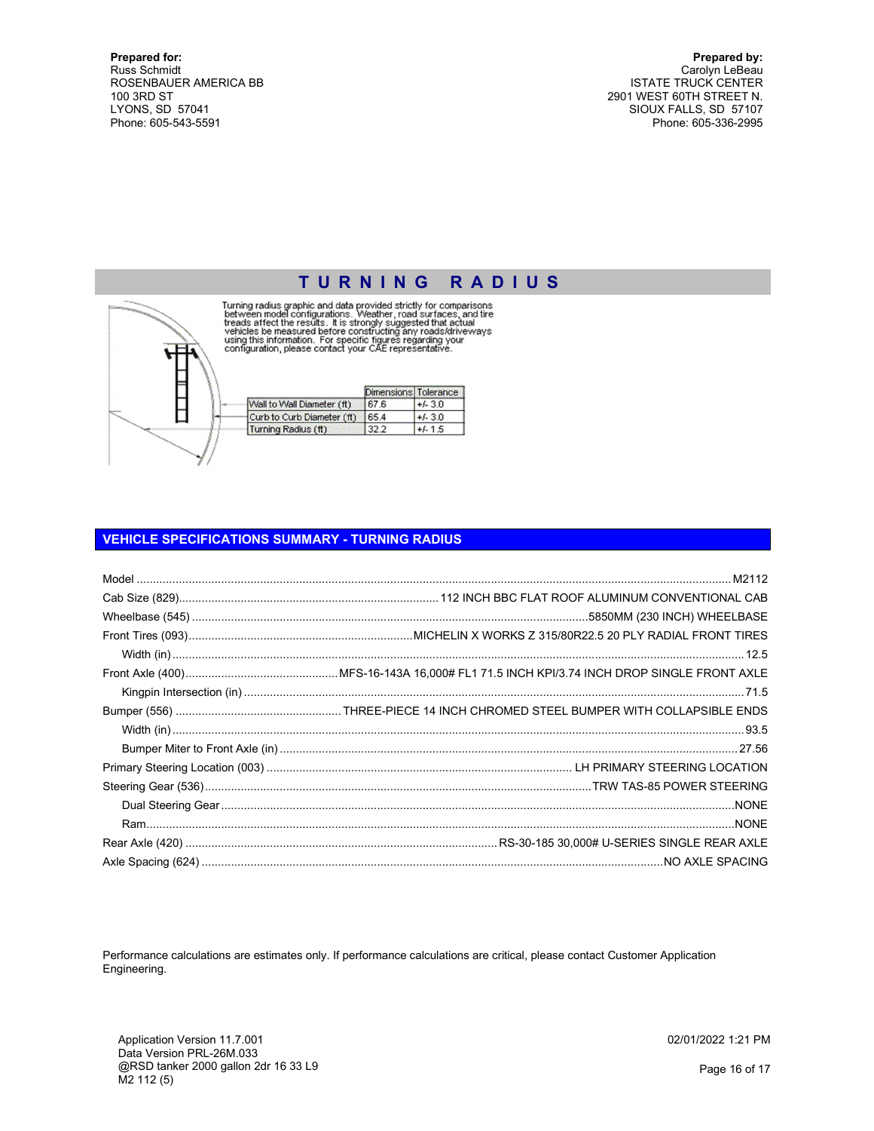Prepared by: Carolyn LeBeau ISTATE TRUCK CENTER 2901 WEST 60TH STREET N. SIOUX FALLS, SD 57107 Phone: 605-336-2995



TURNING RADIUS<br>Turning radius graphic and data provided strictly for comparisons<br>between model configurations. Weather, road surfaces, and tire<br>treads affect the results. It is strongly suggested that actual<br>vericles be me

|                            | Dimensions Tolerance |           |
|----------------------------|----------------------|-----------|
| Wall to Wall Diameter (ft) | 167.6                | $+/-3.0$  |
| Curb to Curb Diameter (ft) | 65.4                 | $+/-3.0$  |
| Turning Radius (ft)        |                      | $+/- 1.5$ |

### VEHICLE SPECIFICATIONS SUMMARY - TURNING RADIUS

Performance calculations are estimates only. If performance calculations are critical, please contact Customer Application Engineering.